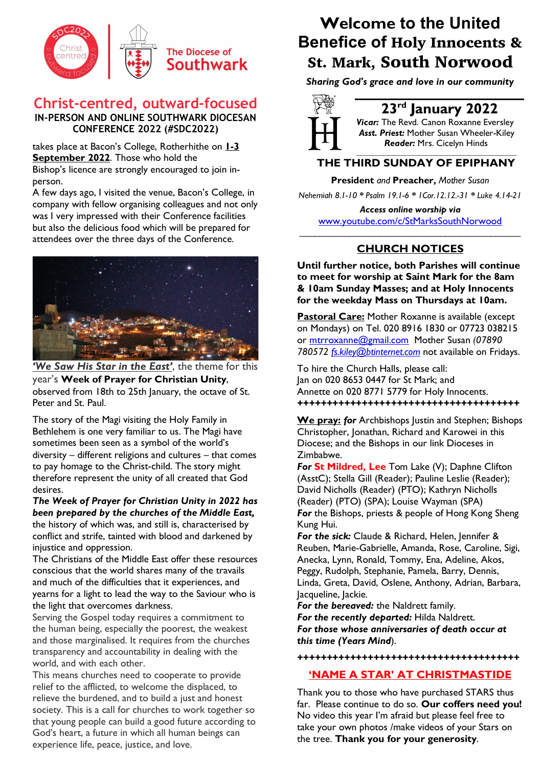

## **Christ-centred, outward-focused IN-PERSON AND ONLINE SOUTHWARK DIOCESAN CONFERENCE 2022 (#SDC2022)**

takes place at Bacon's College, Rotherhithe on **1-3 September 2022**. Those who hold the

Bishop's licence are strongly encouraged to join inperson.

A few days ago, I visited the venue, Bacon's College, in company with fellow organising colleagues and not only was I very impressed with their Conference facilities but also the delicious food which will be prepared for attendees over the three days of the Conference.



*'We Saw His Star in the East'*, the theme for this year's **Week of Prayer for Christian Unity**, observed from 18th to 25th January, the octave of St. Peter and St. Paul.

The story of the Magi visiting the Holy Family in Bethlehem is one very familiar to us. The Magi have sometimes been seen as a symbol of the world's diversity – different religions and cultures – that comes to pay homage to the Christ-child. The story might therefore represent the unity of all created that God desires.

*The Week of Prayer for Christian Unity in 2022 has been prepared by the churches of the Middle East,* the history of which was, and still is, characterised by conflict and strife, tainted with blood and darkened by injustice and oppression.

The Christians of the Middle East offer these resources conscious that the world shares many of the travails and much of the difficulties that it experiences, and yearns for a light to lead the way to the Saviour who is the light that overcomes darkness.

Serving the Gospel today requires a commitment to the human being, especially the poorest, the weakest and those marginalised. It requires from the churches transparency and accountability in dealing with the world, and with each other.

This means churches need to cooperate to provide relief to the afflicted, to welcome the displaced, to relieve the burdened, and to build a just and honest society. This is a call for churches to work together so that young people can build a good future according to God's heart, a future in which all human beings can experience life, peace, justice, and love.

# **Welcome to the United Benefice of** Holy Innocents & St. Mark, South Norwood

*Sharing God's grace and love in our community*



# **23rd January 2022**

*Vicar:* The Revd. Canon Roxanne Eversley *Asst. Priest:* Mother Susan Wheeler-Kiley  *Reader:* Mrs. Cicelyn Hinds *\_\_\_\_\_\_\_\_\_\_\_\_\_\_\_\_\_\_\_\_\_\_\_\_\_\_\_\_\_\_\_\_\_\_\_\_\_\_\_\_\_\_\_\_*

## **THE THIRD SUNDAY OF EPIPHANY**

**President** *and* **Preacher,** *Mother Susan* 

*Nehemiah 8.1-10 \* Psalm 19.1-6 \* 1Cor.12.12.-31 \* Luke 4.14-21*

*Access online worship via* www.youtube.com/c/StMarksSouthNorwood

## **CHURCH NOTICES**

**Until further notice, both Parishes will continue to meet for worship at Saint Mark for the 8am & 10am Sunday Masses; and at Holy Innocents for the weekday Mass on Thursdays at 10am.**

**Pastoral Care:** Mother Roxanne is available (except on Mondays) on Tel. 020 8916 1830 or 07723 038215 or mtrroxanne@gmail.com Mother Susan *(07890 780572 fs.kiley@btinternet.com* not available on Fridays.

To hire the Church Halls, please call: Jan on 020 8653 0447 for St Mark; and Annette on 020 8771 5779 for Holy Innocents. *++++++++++++++++++++++++++++++++++++++*

**We pray:** *for* Archbishops Justin and Stephen; Bishops Christopher, Jonathan, Richard and Karowei in this Diocese; and the Bishops in our link Dioceses in Zimbabwe.

*For* **St Mildred, Lee** Tom Lake (V); Daphne Clifton (AsstC); Stella Gill (Reader); Pauline Leslie (Reader); David Nicholls (Reader) (PTO); Kathryn Nicholls (Reader) (PTO) (SPA); Louise Wayman (SPA) *For* the Bishops, priests & people of Hong Kong Sheng Kung Hui.

*For the sick:* Claude & Richard, Helen, Jennifer & Reuben, Marie-Gabrielle, Amanda, Rose, Caroline, Sigi, Anecka, Lynn, Ronald, Tommy, Ena, Adeline, Akos, Peggy, Rudolph, Stephanie, Pamela, Barry, Dennis, Linda, Greta, David, Oslene, Anthony, Adrian, Barbara, Jacqueline, Jackie.

*For the bereaved:* the Naldrett family. *For the recently departed:* Hilda Naldrett. *For those whose anniversaries of death occur at this time (Years Mind*).

## *++++++++++++++++++++++++++++++++++++++*

## **'NAME A STAR' AT CHRISTMASTIDE**

Thank you to those who have purchased STARS thus far. Please continue to do so. **Our coffers need you!** No video this year I'm afraid but please feel free to take your own photos /make videos of your Stars on the tree. **Thank you for your generosity**.